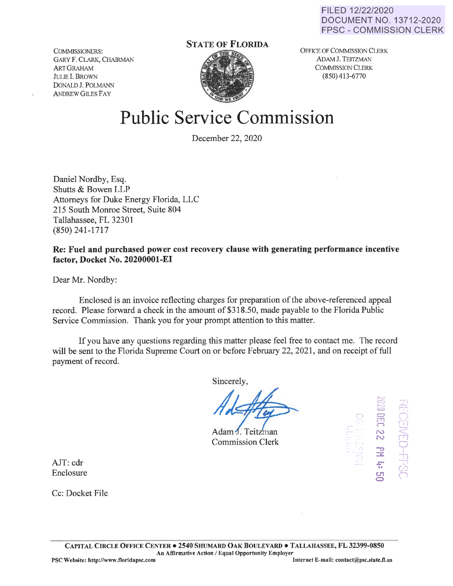FILED 12/22/2020 DOCUMENT NO. 13712-2020 FPSC - COMMISSION CLERK

COMMISSIONERS: GARY F. CLARK, CHAIRMAN ARTGRAHAM JULIE I. BROWN DONALD J. POLMANN ANDREW GILES FAY

# **STATE OF FLORIDA**



OFFICE OF COMMISSION CLERK ADAM J. TEITZMAN COMMISSION CLERK  $(850)$  413-6770

# **Public Service Commission**

December 22, 2020

Daniel Nordby, Esq. Shutts & Bowen LLP Attorneys for Duke Energy Florida, LLC 215 South Monroe Street, Suite 804 Tallahassee, FL 32301 (850) 241-1717

**Re: Fuel and purchased power cost recovery clause with generating performance incentive factor, Docket No. 20200001-EI** 

Dear Mr. Nordby:

Enclosed is an invoice reflecting charges for preparation of the above-referenced appeal record. Please forward a check in the amount of \$318.50, made payable to the Florida Public Service Commission. Thank you for your prompt attention to this matter.

If you have any questions regarding this matter please feel free to contact me. The record will be sent to the Florida Supreme Court on or before February 22, 2021, and on receipt of full payment of record.

Sincerely,

Adam J. Teitzman Commission Clerk



AJT: cdr Enclosure

Cc: Docket File